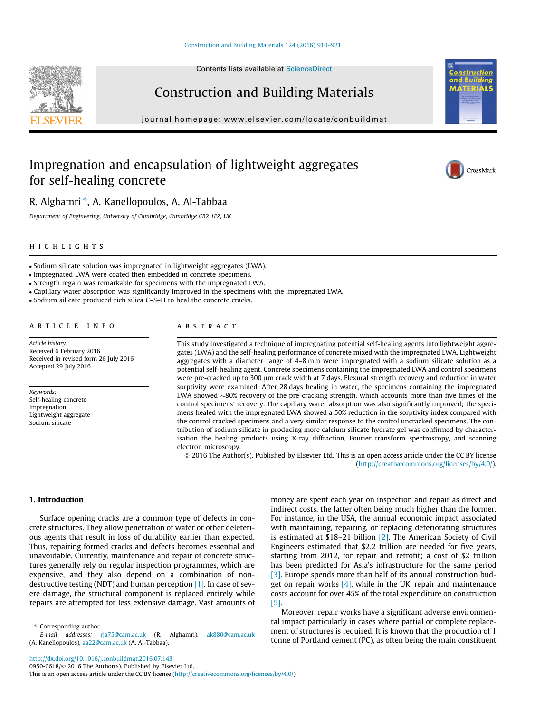#### [Construction and Building Materials 124 \(2016\) 910–921](http://dx.doi.org/10.1016/j.conbuildmat.2016.07.143)

Contents lists available at [ScienceDirect](http://www.sciencedirect.com/science/journal/09500618)



journal homepage: [www.elsevier.com/locate/conbuildmat](http://www.elsevier.com/locate/conbuildmat)

## Impregnation and encapsulation of lightweight aggregates for self-healing concrete



Construction and

τś



### R. Alghamri \*, A. Kanellopoulos, A. Al-Tabbaa

Department of Engineering, University of Cambridge, Cambridge CB2 1PZ, UK

### highlights and the second second second second second second second second second second second second second

- Sodium silicate solution was impregnated in lightweight aggregates (LWA).
- Impregnated LWA were coated then embedded in concrete specimens.
- Strength regain was remarkable for specimens with the impregnated LWA.
- Capillary water absorption was significantly improved in the specimens with the impregnated LWA.
- Sodium silicate produced rich silica C–S–H to heal the concrete cracks.

### ARTICLE INFO

Article history: Received 6 February 2016 Received in revised form 26 July 2016 Accepted 29 July 2016

Keywords: Self-healing concrete Impregnation Lightweight aggregate Sodium silicate

### ABSTRACT

This study investigated a technique of impregnating potential self-healing agents into lightweight aggregates (LWA) and the self-healing performance of concrete mixed with the impregnated LWA. Lightweight aggregates with a diameter range of 4–8 mm were impregnated with a sodium silicate solution as a potential self-healing agent. Concrete specimens containing the impregnated LWA and control specimens were pre-cracked up to 300 µm crack width at 7 days. Flexural strength recovery and reduction in water sorptivity were examined. After 28 days healing in water, the specimens containing the impregnated LWA showed  $\sim80\%$  recovery of the pre-cracking strength, which accounts more than five times of the control specimens' recovery. The capillary water absorption was also significantly improved; the specimens healed with the impregnated LWA showed a 50% reduction in the sorptivity index compared with the control cracked specimens and a very similar response to the control uncracked specimens. The contribution of sodium silicate in producing more calcium silicate hydrate gel was confirmed by characterisation the healing products using X-ray diffraction, Fourier transform spectroscopy, and scanning electron microscopy.

 2016 The Author(s). Published by Elsevier Ltd. This is an open access article under the CC BY license [\(http://creativecommons.org/licenses/by/4.0/](http://creativecommons.org/licenses/by/4.0/)).

### 1. Introduction

Surface opening cracks are a common type of defects in concrete structures. They allow penetration of water or other deleterious agents that result in loss of durability earlier than expected. Thus, repairing formed cracks and defects becomes essential and unavoidable. Currently, maintenance and repair of concrete structures generally rely on regular inspection programmes, which are expensive, and they also depend on a combination of nondestructive testing (NDT) and human perception [\[1\]](#page--1-0). In case of severe damage, the structural component is replaced entirely while repairs are attempted for less extensive damage. Vast amounts of

⇑ Corresponding author.

money are spent each year on inspection and repair as direct and indirect costs, the latter often being much higher than the former. For instance, in the USA, the annual economic impact associated with maintaining, repairing, or replacing deteriorating structures is estimated at \$18–21 billion [\[2\].](#page--1-0) The American Society of Civil Engineers estimated that \$2.2 trillion are needed for five years, starting from 2012, for repair and retrofit; a cost of \$2 trillion has been predicted for Asia's infrastructure for the same period [\[3\]](#page--1-0). Europe spends more than half of its annual construction budget on repair works  $[4]$ , while in the UK, repair and maintenance costs account for over 45% of the total expenditure on construction [\[5\]](#page--1-0).

Moreover, repair works have a significant adverse environmental impact particularly in cases where partial or complete replacement of structures is required. It is known that the production of 1 tonne of Portland cement (PC), as often being the main constituent

E-mail addresses: [rja75@cam.ac.uk](mailto:rja75@cam.ac.uk) (R. Alghamri), [ak880@cam.ac.uk](mailto:ak880@cam.ac.uk) (A. Kanellopoulos), [aa22@cam.ac.uk](mailto:aa22@cam.ac.uk) (A. Al-Tabbaa).

This is an open access article under the CC BY license ([http://creativecommons.org/licenses/by/4.0/\)](http://creativecommons.org/licenses/by/4.0/).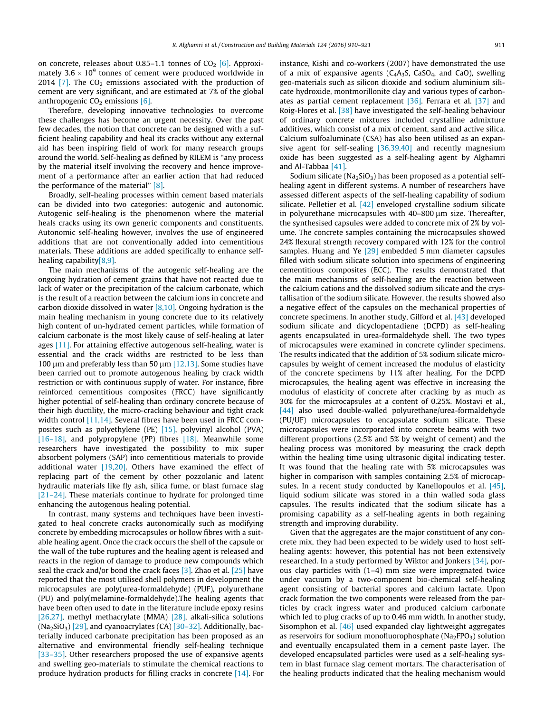on concrete, releases about 0.85–1.1 tonnes of  $CO<sub>2</sub>$  [\[6\]](#page--1-0). Approximately  $3.6 \times 10^9$  tonnes of cement were produced worldwide in 2014 [\[7\]](#page--1-0). The  $CO<sub>2</sub>$  emissions associated with the production of cement are very significant, and are estimated at 7% of the global anthropogenic  $CO<sub>2</sub>$  emissions [\[6\]](#page--1-0).

Therefore, developing innovative technologies to overcome these challenges has become an urgent necessity. Over the past few decades, the notion that concrete can be designed with a sufficient healing capability and heal its cracks without any external aid has been inspiring field of work for many research groups around the world. Self-healing as defined by RILEM is ''any process by the material itself involving the recovery and hence improvement of a performance after an earlier action that had reduced the performance of the material" [\[8\]](#page--1-0).

Broadly, self-healing processes within cement based materials can be divided into two categories: autogenic and autonomic. Autogenic self-healing is the phenomenon where the material heals cracks using its own generic components and constituents. Autonomic self-healing however, involves the use of engineered additions that are not conventionally added into cementitious materials. These additions are added specifically to enhance selfhealing capability[\[8,9\]](#page--1-0).

The main mechanisms of the autogenic self-healing are the ongoing hydration of cement grains that have not reacted due to lack of water or the precipitation of the calcium carbonate, which is the result of a reaction between the calcium ions in concrete and carbon dioxide dissolved in water  $[8,10]$ . Ongoing hydration is the main healing mechanism in young concrete due to its relatively high content of un-hydrated cement particles, while formation of calcium carbonate is the most likely cause of self-healing at later ages [\[11\]](#page--1-0). For attaining effective autogenous self-healing, water is essential and the crack widths are restricted to be less than 100  $\mu$ m and preferably less than 50  $\mu$ m [\[12,13\].](#page--1-0) Some studies have been carried out to promote autogenous healing by crack width restriction or with continuous supply of water. For instance, fibre reinforced cementitious composites (FRCC) have significantly higher potential of self-healing than ordinary concrete because of their high ductility, the micro-cracking behaviour and tight crack width control [\[11,14\].](#page--1-0) Several fibres have been used in FRCC composites such as polyethylene (PE) [\[15\]](#page--1-0), polyvinyl alcohol (PVA) [\[16–18\]](#page--1-0), and polypropylene (PP) fibres [\[18\]](#page--1-0). Meanwhile some researchers have investigated the possibility to mix super absorbent polymers (SAP) into cementitious materials to provide additional water [\[19,20\].](#page--1-0) Others have examined the effect of replacing part of the cement by other pozzolanic and latent hydraulic materials like fly ash, silica fume, or blast furnace slag [\[21–24\]](#page--1-0). These materials continue to hydrate for prolonged time enhancing the autogenous healing potential.

In contrast, many systems and techniques have been investigated to heal concrete cracks autonomically such as modifying concrete by embedding microcapsules or hollow fibres with a suitable healing agent. Once the crack occurs the shell of the capsule or the wall of the tube ruptures and the healing agent is released and reacts in the region of damage to produce new compounds which seal the crack and/or bond the crack faces  $[3]$ . Zhao et al.  $[25]$  have reported that the most utilised shell polymers in development the microcapsules are poly(urea-formaldehyde) (PUF), polyurethane (PU) and poly(melamine-formaldehyde).The healing agents that have been often used to date in the literature include epoxy resins [\[26,27\]](#page--1-0), methyl methacrylate (MMA) [\[28\]](#page--1-0), alkali-silica solutions  $(Na_2SiO_3)$  [\[29\]](#page--1-0), and cyanoacrylates  $(CA)$  [\[30–32\].](#page--1-0) Additionally, bacterially induced carbonate precipitation has been proposed as an alternative and environmental friendly self-healing technique [\[33–35\]](#page--1-0). Other researchers proposed the use of expansive agents and swelling geo-materials to stimulate the chemical reactions to produce hydration products for filling cracks in concrete [\[14\].](#page--1-0) For instance, Kishi and co-workers (2007) have demonstrated the use of a mix of expansive agents  $(C_4A_3S, CaSO_4, and CaO)$ , swelling geo-materials such as silicon dioxide and sodium aluminium silicate hydroxide, montmorillonite clay and various types of carbonates as partial cement replacement [\[36\]](#page--1-0). Ferrara et al. [\[37\]](#page--1-0) and Roig-Flores et al. [\[38\]](#page--1-0) have investigated the self-healing behaviour of ordinary concrete mixtures included crystalline admixture additives, which consist of a mix of cement, sand and active silica. Calcium sulfoaluminate (CSA) has also been utilised as an expan-sive agent for self-sealing [\[36,39,40\]](#page--1-0) and recently magnesium oxide has been suggested as a self-healing agent by Alghamri and Al-Tabbaa [\[41\]](#page--1-0).

Sodium silicate (Na<sub>2</sub>SiO<sub>3</sub>) has been proposed as a potential selfhealing agent in different systems. A number of researchers have assessed different aspects of the self-healing capability of sodium silicate. Pelletier et al. [\[42\]](#page--1-0) enveloped crystalline sodium silicate in polyurethane microcapsules with  $40-800 \mu m$  size. Thereafter, the synthesised capsules were added to concrete mix of 2% by volume. The concrete samples containing the microcapsules showed 24% flexural strength recovery compared with 12% for the control samples. Huang and Ye [\[29\]](#page--1-0) embedded 5 mm diameter capsules filled with sodium silicate solution into specimens of engineering cementitious composites (ECC). The results demonstrated that the main mechanisms of self-healing are the reaction between the calcium cations and the dissolved sodium silicate and the crystallisation of the sodium silicate. However, the results showed also a negative effect of the capsules on the mechanical properties of concrete specimens. In another study, Gilford et al. [\[43\]](#page--1-0) developed sodium silicate and dicyclopentadiene (DCPD) as self-healing agents encapsulated in urea-formaldehyde shell. The two types of microcapsules were examined in concrete cylinder specimens. The results indicated that the addition of 5% sodium silicate microcapsules by weight of cement increased the modulus of elasticity of the concrete specimens by 11% after healing. For the DCPD microcapsules, the healing agent was effective in increasing the modulus of elasticity of concrete after cracking by as much as 30% for the microcapsules at a content of 0.25%. Mostavi et al., [\[44\]](#page--1-0) also used double-walled polyurethane/urea-formaldehyde (PU/UF) microcapsules to encapsulate sodium silicate. These microcapsules were incorporated into concrete beams with two different proportions (2.5% and 5% by weight of cement) and the healing process was monitored by measuring the crack depth within the healing time using ultrasonic digital indicating tester. It was found that the healing rate with 5% microcapsules was higher in comparison with samples containing 2.5% of microcapsules. In a recent study conducted by Kanellopoulos et al. [\[45\],](#page--1-0) liquid sodium silicate was stored in a thin walled soda glass capsules. The results indicated that the sodium silicate has a promising capability as a self-healing agents in both regaining strength and improving durability.

Given that the aggregates are the major constituent of any concrete mix, they had been expected to be widely used to host selfhealing agents: however, this potential has not been extensively researched. In a study performed by Wiktor and Jonkers [\[34\]](#page--1-0), porous clay particles with (1–4) mm size were impregnated twice under vacuum by a two-component bio-chemical self-healing agent consisting of bacterial spores and calcium lactate. Upon crack formation the two components were released from the particles by crack ingress water and produced calcium carbonate which led to plug cracks of up to 0.46 mm width. In another study, Sisomphon et al. [\[46\]](#page--1-0) used expanded clay lightweight aggregates as reservoirs for sodium monofluorophosphate ( $Na<sub>2</sub>FPO<sub>3</sub>$ ) solution and eventually encapsulated them in a cement paste layer. The developed encapsulated particles were used as a self-healing system in blast furnace slag cement mortars. The characterisation of the healing products indicated that the healing mechanism would